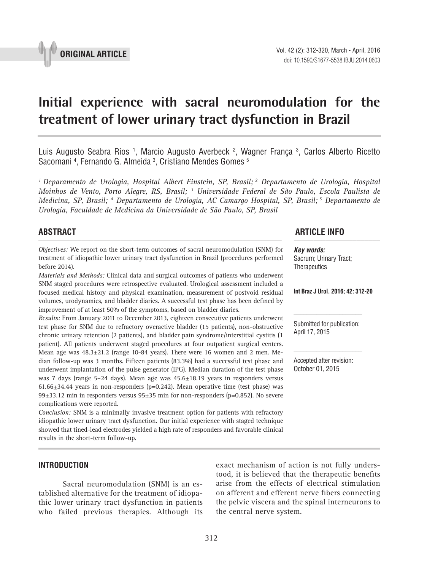

# **Initial experience with sacral neuromodulation for the treatment of lower urinary tract dysfunction in Brazil \_\_\_\_\_\_\_\_\_\_\_\_\_\_\_\_\_\_\_\_\_\_\_\_\_\_\_\_\_\_\_\_\_\_\_\_\_\_\_\_\_\_\_\_\_\_\_**

Luis Augusto Seabra Rios <sup>1</sup>, Marcio Augusto Averbeck <sup>2</sup>, Wagner França <sup>3</sup>, Carlos Alberto Ricetto Sacomani 4 , Fernando G. Almeida 3 , Cristiano Mendes Gomes 5

*1 Deparamento de Urologia, Hospital Albert Einstein, SP, Brasil; 2 Departamento de Urologia, Hospital Moinhos de Vento, Porto Alegre, RS, Brasil; 3 Universidade Federal de São Paulo, Escola Paulista de Medicina, SP, Brasil; 4 Departamento de Urologia, AC Camargo Hospital, SP, Brasil; 5 Departamento de Urologia, Faculdade de Medicina da Universidade de São Paulo, SP, Brasil*

#### *Objectives:* We report on the short-term outcomes of sacral neuromodulation (SNM) for treatment of idiopathic lower urinary tract dysfunction in Brazil (procedures performed before 2014).

*Materials and Methods:* Clinical data and surgical outcomes of patients who underwent SNM staged procedures were retrospective evaluated. Urological assessment included a focused medical history and physical examination, measurement of postvoid residual volumes, urodynamics, and bladder diaries. A successful test phase has been defined by improvement of at least 50% of the symptoms, based on bladder diaries.

*Results:* From January 2011 to December 2013, eighteen consecutive patients underwent test phase for SNM due to refractory overactive bladder (15 patients), non-obstructive chronic urinary retention (2 patients), and bladder pain syndrome/interstitial cystitis (1 patient). All patients underwent staged procedures at four outpatient surgical centers. Mean age was  $48.3 \pm 21.2$  (range 10-84 years). There were 16 women and 2 men. Median follow-up was 3 months. Fifteen patients (83.3%) had a successful test phase and underwent implantation of the pulse generator (IPG). Median duration of the test phase was 7 days (range 5-24 days). Mean age was 45.6 $\pm$ 18.19 years in responders versus  $61.66+34.44$  years in non-responders (p=0.242). Mean operative time (test phase) was 99 $\pm$ 33.12 min in responders versus 95 $\pm$ 35 min for non-responders (p=0.852). No severe complications were reported.

*Conclusion:* SNM is a minimally invasive treatment option for patients with refractory idiopathic lower urinary tract dysfunction. Our initial experience with staged technique showed that tined-lead electrodes yielded a high rate of responders and favorable clinical results in the short-term follow-up.

## **INTRODUCTION**

Sacral neuromodulation (SNM) is an established alternative for the treatment of idiopathic lower urinary tract dysfunction in patients who failed previous therapies. Although its

# **ABSTRACT ARTICLE INFO** *\_\_\_\_\_\_\_\_\_\_\_\_\_\_\_\_\_\_\_\_\_\_\_\_\_\_\_\_\_\_\_\_\_\_\_\_\_\_\_\_\_\_\_\_\_\_\_\_\_\_\_\_\_\_\_\_\_\_\_\_\_\_ \_\_\_\_\_\_\_\_\_\_\_\_\_\_\_\_\_\_\_\_\_\_*

*Key words:* Sacrum; Urinary Tract; **Therapeutics** 

**Int Braz J Urol. 2016; 42: 312-20**

Submitted for publication: April 17, 2015

Accepted after revision: October 01, 2015

exact mechanism of action is not fully understood, it is believed that the therapeutic benefits arise from the effects of electrical stimulation on afferent and efferent nerve fibers connecting the pelvic viscera and the spinal interneurons to

the central nerve system.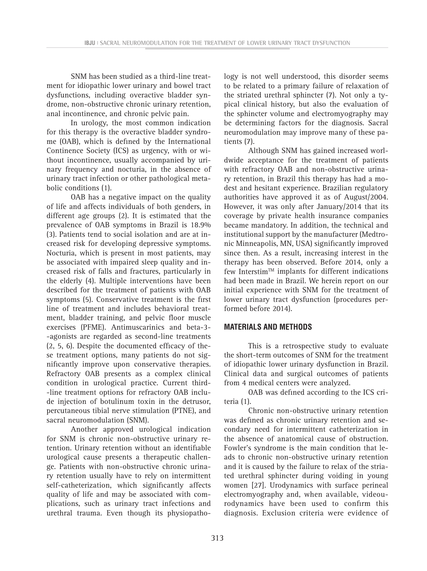SNM has been studied as a third-line treatment for idiopathic lower urinary and bowel tract dysfunctions, including overactive bladder syndrome, non-obstructive chronic urinary retention, anal incontinence, and chronic pelvic pain.

In urology, the most common indication for this therapy is the overactive bladder syndrome (OAB), which is defined by the International Continence Society (ICS) as urgency, with or without incontinence, usually accompanied by urinary frequency and nocturia, in the absence of urinary tract infection or other pathological metabolic conditions (1).

OAB has a negative impact on the quality of life and affects individuals of both genders, in different age groups (2). It is estimated that the prevalence of OAB symptoms in Brazil is 18.9% (3). Patients tend to social isolation and are at increased risk for developing depressive symptoms. Nocturia, which is present in most patients, may be associated with impaired sleep quality and increased risk of falls and fractures, particularly in the elderly (4). Multiple interventions have been described for the treatment of patients with OAB symptoms (5). Conservative treatment is the first line of treatment and includes behavioral treatment, bladder training, and pelvic floor muscle exercises (PFME). Antimuscarinics and beta-3- -agonists are regarded as second-line treatments (2, 5, 6). Despite the documented efficacy of these treatment options, many patients do not significantly improve upon conservative therapies. Refractory OAB presents as a complex clinical condition in urological practice. Current third- -line treatment options for refractory OAB include injection of botulinum toxin in the detrusor, percutaneous tibial nerve stimulation (PTNE), and sacral neuromodulation (SNM).

Another approved urological indication for SNM is chronic non-obstructive urinary retention. Urinary retention without an identifiable urological cause presents a therapeutic challenge. Patients with non-obstructive chronic urinary retention usually have to rely on intermittent self-catheterization, which significantly affects quality of life and may be associated with complications, such as urinary tract infections and urethral trauma. Even though its physiopathology is not well understood, this disorder seems to be related to a primary failure of relaxation of the striated urethral sphincter (7). Not only a typical clinical history, but also the evaluation of the sphincter volume and electromyography may be determining factors for the diagnosis. Sacral neuromodulation may improve many of these patients (7).

Although SNM has gained increased worldwide acceptance for the treatment of patients with refractory OAB and non-obstructive urinary retention, in Brazil this therapy has had a modest and hesitant experience. Brazilian regulatory authorities have approved it as of August/2004. However, it was only after January/2014 that its coverage by private health insurance companies became mandatory. In addition, the technical and institutional support by the manufacturer (Medtronic Minneapolis, MN, USA) significantly improved since then. As a result, increasing interest in the therapy has been observed. Before 2014, only a few Interstim<sup>TM</sup> implants for different indications had been made in Brazil. We herein report on our initial experience with SNM for the treatment of lower urinary tract dysfunction (procedures performed before 2014).

#### **MATERIALS AND METHODS**

This is a retrospective study to evaluate the short-term outcomes of SNM for the treatment of idiopathic lower urinary dysfunction in Brazil. Clinical data and surgical outcomes of patients from 4 medical centers were analyzed.

OAB was defined according to the ICS criteria (1).

Chronic non-obstructive urinary retention was defined as chronic urinary retention and secondary need for intermittent catheterization in the absence of anatomical cause of obstruction. Fowler's syndrome is the main condition that leads to chronic non-obstructive urinary retention and it is caused by the failure to relax of the striated urethral sphincter during voiding in young women [27]. Urodynamics with surface perineal electromyography and, when available, videourodynamics have been used to confirm this diagnosis. Exclusion criteria were evidence of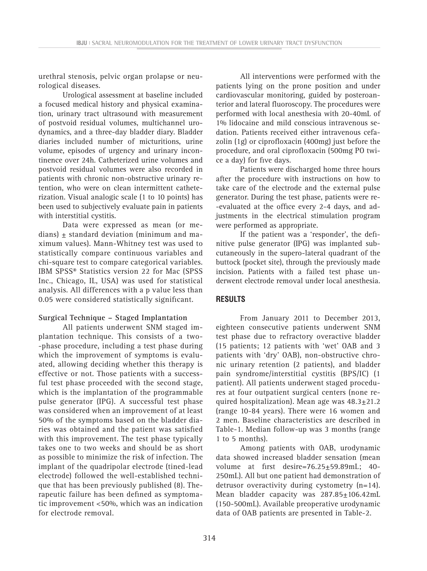urethral stenosis, pelvic organ prolapse or neurological diseases.

Urological assessment at baseline included a focused medical history and physical examination, urinary tract ultrasound with measurement of postvoid residual volumes, multichannel urodynamics, and a three-day bladder diary. Bladder diaries included number of micturitions, urine volume, episodes of urgency and urinary incontinence over 24h. Catheterized urine volumes and postvoid residual volumes were also recorded in patients with chronic non-obstructive urinary retention, who were on clean intermittent catheterization. Visual analogic scale (1 to 10 points) has been used to subjectively evaluate pain in patients with interstitial cystitis.

Data were expressed as mean (or medians) ± standard deviation (minimum and maximum values). Mann-Whitney test was used to statistically compare continuous variables and chi-square test to compare categorical variables. IBM SPSS**®** Statistics version 22 for Mac (SPSS Inc., Chicago, IL, USA) was used for statistical analysis. All differences with a p value less than 0.05 were considered statistically significant.

## **Surgical Technique – Staged Implantation**

All patients underwent SNM staged implantation technique. This consists of a two- -phase procedure, including a test phase during which the improvement of symptoms is evaluated, allowing deciding whether this therapy is effective or not. Those patients with a successful test phase proceeded with the second stage, which is the implantation of the programmable pulse generator (IPG). A successful test phase was considered when an improvement of at least 50% of the symptoms based on the bladder diaries was obtained and the patient was satisfied with this improvement. The test phase typically takes one to two weeks and should be as short as possible to minimize the risk of infection. The implant of the quadripolar electrode (tined-lead electrode) followed the well-established technique that has been previously published (8). Therapeutic failure has been defined as symptomatic improvement <50%, which was an indication for electrode removal.

All interventions were performed with the patients lying on the prone position and under cardiovascular monitoring, guided by posteroanterior and lateral fluoroscopy. The procedures were performed with local anesthesia with 20-40mL of 1% lidocaine and mild conscious intravenous sedation. Patients received either intravenous cefazolin (1g) or ciprofloxacin (400mg) just before the procedure, and oral ciprofloxacin (500mg PO twice a day) for five days.

Patients were discharged home three hours after the procedure with instructions on how to take care of the electrode and the external pulse generator. During the test phase, patients were re- -evaluated at the office every 2-4 days, and adjustments in the electrical stimulation program were performed as appropriate.

If the patient was a 'responder', the definitive pulse generator (IPG) was implanted subcutaneously in the supero-lateral quadrant of the buttock (pocket site), through the previously made incision. Patients with a failed test phase underwent electrode removal under local anesthesia.

# **RESULTS**

From January 2011 to December 2013, eighteen consecutive patients underwent SNM test phase due to refractory overactive bladder (15 patients; 12 patients with 'wet' OAB and 3 patients with 'dry' OAB), non-obstructive chronic urinary retention (2 patients), and bladder pain syndrome/interstitial cystitis (BPS/IC) (1 patient). All patients underwent staged procedures at four outpatient surgical centers (none required hospitalization). Mean age was 48.3±21.2 (range 10-84 years). There were 16 women and 2 men. Baseline characteristics are described in Table-1. Median follow-up was 3 months (range 1 to 5 months).

Among patients with OAB, urodynamic data showed increased bladder sensation (mean volume at first desire=76.25±59.89mL; 40- 250mL). All but one patient had demonstration of detrusor overactivity during cystometry  $(n=14)$ . Mean bladder capacity was 287.85±106.42mL (150-500mL). Available preoperative urodynamic data of OAB patients are presented in Table-2.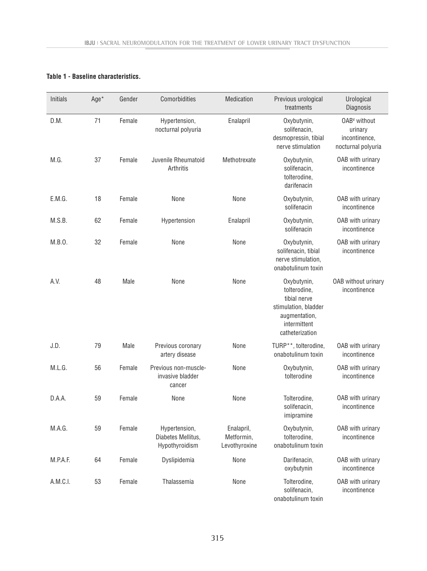## **Table 1 - Baseline characteristics.**

| Initials | Age* | Gender | Comorbidities                                         | Medication                                | Previous urological<br>treatments                                                                                       | Urological<br>Diagnosis                                                    |
|----------|------|--------|-------------------------------------------------------|-------------------------------------------|-------------------------------------------------------------------------------------------------------------------------|----------------------------------------------------------------------------|
| D.M.     | 71   | Female | Hypertension,<br>nocturnal polyuria                   | Enalapril                                 | Oxybutynin,<br>solifenacin,<br>desmopressin, tibial<br>nerve stimulation                                                | OAB <sup>¥</sup> without<br>urinary<br>incontinence,<br>nocturnal polyuria |
| M.G.     | 37   | Female | Juvenile Rheumatoid<br>Arthritis                      | Methotrexate                              | Oxybutynin,<br>solifenacin,<br>tolterodine,<br>darifenacin                                                              | OAB with urinary<br>incontinence                                           |
| E.M.G.   | 18   | Female | None                                                  | None                                      | Oxybutynin,<br>solifenacin                                                                                              | OAB with urinary<br>incontinence                                           |
| M.S.B.   | 62   | Female | Hypertension                                          | Enalapril                                 | Oxybutynin,<br>solifenacin                                                                                              | OAB with urinary<br>incontinence                                           |
| M.B.O.   | 32   | Female | None                                                  | None                                      | Oxybutynin,<br>solifenacin, tibial<br>nerve stimulation,<br>onabotulinum toxin                                          | OAB with urinary<br>incontinence                                           |
| A.V.     | 48   | Male   | None                                                  | None                                      | Oxybutynin,<br>tolterodine,<br>tibial nerve<br>stimulation, bladder<br>augmentation,<br>intermittent<br>catheterization | OAB without urinary<br>incontinence                                        |
| J.D.     | 79   | Male   | Previous coronary<br>artery disease                   | None                                      | TURP**, tolterodine,<br>onabotulinum toxin                                                                              | OAB with urinary<br>incontinence                                           |
| M.L.G.   | 56   | Female | Previous non-muscle-<br>invasive bladder<br>cancer    | None                                      | Oxybutynin,<br>tolterodine                                                                                              | OAB with urinary<br>incontinence                                           |
| D.A.A.   | 59   | Female | None                                                  | None                                      | Tolterodine,<br>solifenacin,<br>imipramine                                                                              | OAB with urinary<br>incontinence                                           |
| M.A.G.   | 59   | Female | Hypertension,<br>Diabetes Mellitus,<br>Hypothyroidism | Enalapril,<br>Metformin,<br>Levothyroxine | Oxybutynin,<br>tolterodine,<br>onabotulinum toxin                                                                       | OAB with urinary<br>incontinence                                           |
| M.P.A.F. | 64   | Female | Dyslipidemia                                          | None                                      | Darifenacin,<br>oxybutynin                                                                                              | OAB with urinary<br>incontinence                                           |
| A.M.C.I. | 53   | Female | Thalassemia                                           | None                                      | Tolterodine,<br>solifenacin,<br>onabotulinum toxin                                                                      | OAB with urinary<br>incontinence                                           |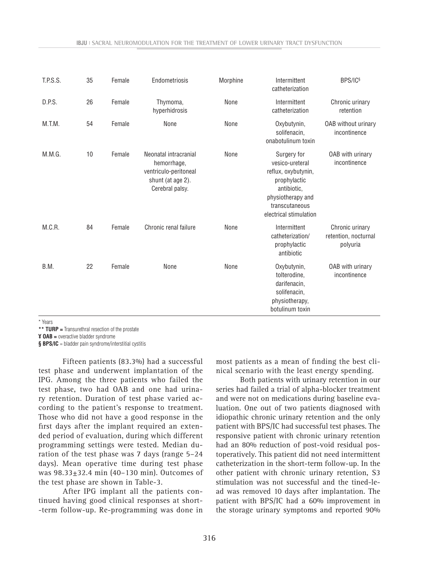| <b>T.P.S.S.</b> | 35 | Female | Endometriosis                                                                                         | Morphine | Intermittent<br>catheterization                                                                                                                       | BPS/IC <sup>§</sup>                                 |
|-----------------|----|--------|-------------------------------------------------------------------------------------------------------|----------|-------------------------------------------------------------------------------------------------------------------------------------------------------|-----------------------------------------------------|
| D.P.S.          | 26 | Female | Thymoma,<br>hyperhidrosis                                                                             | None     | Intermittent<br>catheterization                                                                                                                       | Chronic urinary<br>retention                        |
| M.T.M.          | 54 | Female | None                                                                                                  | None     | Oxybutynin,<br>solifenacin,<br>onabotulinum toxin                                                                                                     | OAB without urinary<br>incontinence                 |
| M.M.G.          | 10 | Female | Neonatal intracranial<br>hemorrhage,<br>ventriculo-peritoneal<br>shunt (at age 2).<br>Cerebral palsy. | None     | Surgery for<br>vesico-ureteral<br>reflux, oxybutynin,<br>prophylactic<br>antibiotic,<br>physiotherapy and<br>transcutaneous<br>electrical stimulation | OAB with urinary<br>incontinence                    |
| M.C.R.          | 84 | Female | Chronic renal failure                                                                                 | None     | Intermittent<br>catheterization/<br>prophylactic<br>antibiotic                                                                                        | Chronic urinary<br>retention, nocturnal<br>polyuria |
| B.M.            | 22 | Female | None                                                                                                  | None     | Oxybutynin,<br>tolterodine,<br>darifenacin.<br>solifenacin,<br>physiotherapy,<br>botulinum toxin                                                      | OAB with urinary<br>incontinence                    |

\* Years

**\*\* TURP =** Transurethral resection of the prostate

**¥ OAB =** overactive bladder syndrome

§ **BPS/IC** = bladder pain syndrome/interstitial cystitis

Fifteen patients (83.3%) had a successful test phase and underwent implantation of the IPG. Among the three patients who failed the test phase, two had OAB and one had urinary retention. Duration of test phase varied according to the patient's response to treatment. Those who did not have a good response in the first days after the implant required an extended period of evaluation, during which different programming settings were tested. Median duration of the test phase was 7 days (range 5–24 days). Mean operative time during test phase was 98.33±32.4 min (40–130 min). Outcomes of the test phase are shown in Table-3.

After IPG implant all the patients continued having good clinical responses at short- -term follow-up. Re-programming was done in most patients as a mean of finding the best clinical scenario with the least energy spending.

Both patients with urinary retention in our series had failed a trial of alpha-blocker treatment and were not on medications during baseline evaluation. One out of two patients diagnosed with idiopathic chronic urinary retention and the only patient with BPS/IC had successful test phases. The responsive patient with chronic urinary retention had an 80% reduction of post-void residual postoperatively. This patient did not need intermittent catheterization in the short-term follow-up. In the other patient with chronic urinary retention, S3 stimulation was not successful and the tined-lead was removed 10 days after implantation. The patient with BPS/IC had a 60% improvement in the storage urinary symptoms and reported 90%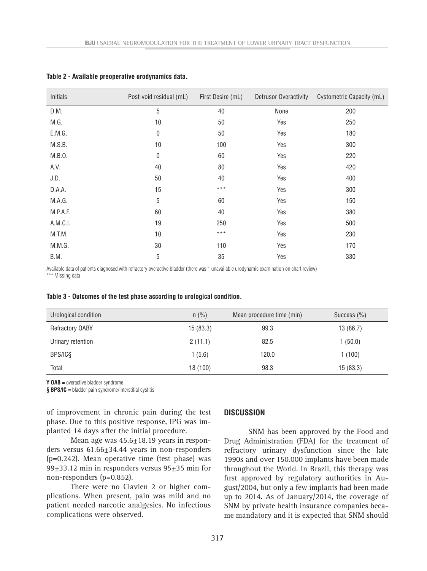| Initials | Post-void residual (mL) | First Desire (mL) | Detrusor Overactivity | Cystometric Capacity (mL) |
|----------|-------------------------|-------------------|-----------------------|---------------------------|
| D.M.     | 5                       | 40                | None                  | 200                       |
| M.G.     | 10                      | 50                | Yes                   | 250                       |
| E.M.G.   | $\boldsymbol{0}$        | 50                | Yes                   | 180                       |
| M.S.B.   | 10                      | 100               | Yes                   | 300                       |
| M.B.O.   | $\boldsymbol{0}$        | 60                | Yes                   | 220                       |
| A.V.     | 40                      | 80                | Yes                   | 420                       |
| J.D.     | 50                      | 40                | Yes                   | 400                       |
| D.A.A.   | 15                      | $\star\star\star$ | Yes                   | 300                       |
| M.A.G.   | 5                       | 60                | Yes                   | 150                       |
| M.P.A.F. | 60                      | 40                | Yes                   | 380                       |
| A.M.C.I. | 19                      | 250               | Yes                   | 500                       |
| M.T.M.   | 10                      | $\star\star\star$ | Yes                   | 230                       |
| M.M.G.   | 30                      | 110               | Yes                   | 170                       |
| B.M.     | 5                       | 35                | Yes                   | 330                       |

**Table 2 - Available preoperative urodynamics data.**

Available data of patients diagnosed with refractory overactive bladder (there was 1 unavailable urodynamic examination on chart review) \*\*\* Missing data

|  |  |  |  | Table 3 - Outcomes of the test phase according to urological condition. |  |  |
|--|--|--|--|-------------------------------------------------------------------------|--|--|
|--|--|--|--|-------------------------------------------------------------------------|--|--|

| Urological condition | n (%)    | Mean procedure time (min) | Success $(\% )$ |
|----------------------|----------|---------------------------|-----------------|
| Refractory OAB¥      | 15(83.3) | 99.3                      | 13 (86.7)       |
| Urinary retention    | 2(11.1)  | 82.5                      | (50.0)          |
| BPS/IC§              | 1(5.6)   | 120.0                     | 1(100)          |
| Total                | 18 (100) | 98.3                      | 15(83.3)        |

**¥ OAB =** overactive bladder syndrome

**§ BPS/IC =** bladder pain syndrome/interstitial cystitis

of improvement in chronic pain during the test phase. Due to this positive response, IPG was implanted 14 days after the initial procedure.

Mean age was  $45.6 \pm 18.19$  years in responders versus 61.66±34.44 years in non-responders (p=0.242). Mean operative time (test phase) was 99±33.12 min in responders versus 95±35 min for non-responders (p=0.852).

There were no Clavien 2 or higher complications. When present, pain was mild and no patient needed narcotic analgesics. No infectious complications were observed.

#### **DISCUSSION**

SNM has been approved by the Food and Drug Administration (FDA) for the treatment of refractory urinary dysfunction since the late 1990s and over 150.000 implants have been made throughout the World. In Brazil, this therapy was first approved by regulatory authorities in August/2004, but only a few implants had been made up to 2014. As of January/2014, the coverage of SNM by private health insurance companies became mandatory and it is expected that SNM should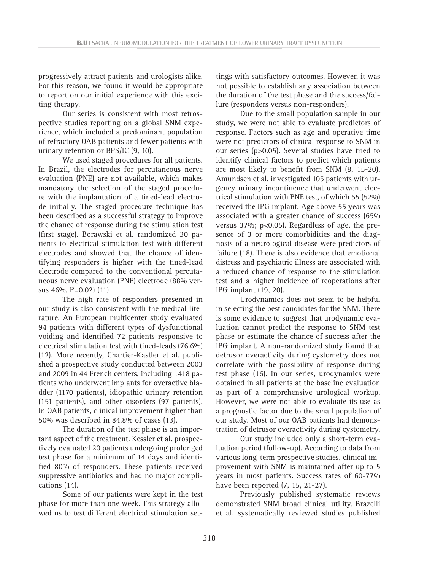progressively attract patients and urologists alike. For this reason, we found it would be appropriate to report on our initial experience with this exciting therapy.

Our series is consistent with most retrospective studies reporting on a global SNM experience, which included a predominant population of refractory OAB patients and fewer patients with urinary retention or BPS/IC (9, 10).

We used staged procedures for all patients. In Brazil, the electrodes for percutaneous nerve evaluation (PNE) are not available, which makes mandatory the selection of the staged procedure with the implantation of a tined-lead electrode initially. The staged procedure technique has been described as a successful strategy to improve the chance of response during the stimulation test (first stage). Borawski et al. randomized 30 patients to electrical stimulation test with different electrodes and showed that the chance of identifying responders is higher with the tined-lead electrode compared to the conventional percutaneous nerve evaluation (PNE) electrode (88% versus 46%, P=0.02) (11).

The high rate of responders presented in our study is also consistent with the medical literature. An European multicenter study evaluated 94 patients with different types of dysfunctional voiding and identified 72 patients responsive to electrical stimulation test with tined-leads (76.6%) (12). More recently, Chartier-Kastler et al. published a prospective study conducted between 2003 and 2009 in 44 French centers, including 1418 patients who underwent implants for overactive bladder (1170 patients), idiopathic urinary retention (151 patients), and other disorders (97 patients). In OAB patients, clinical improvement higher than 50% was described in 84.8% of cases (13).

The duration of the test phase is an important aspect of the treatment. Kessler et al. prospectively evaluated 20 patients undergoing prolonged test phase for a minimum of 14 days and identified 80% of responders. These patients received suppressive antibiotics and had no major complications (14).

Some of our patients were kept in the test phase for more than one week. This strategy allowed us to test different electrical stimulation settings with satisfactory outcomes. However, it was not possible to establish any association between the duration of the test phase and the success/failure (responders versus non-responders).

Due to the small population sample in our study, we were not able to evaluate predictors of response. Factors such as age and operative time were not predictors of clinical response to SNM in our series (p>0.05). Several studies have tried to identify clinical factors to predict which patients are most likely to benefit from SNM (8, 15-20). Amundsen et al. investigated 105 patients with urgency urinary incontinence that underwent electrical stimulation with PNE test, of which 55 (52%) received the IPG implant. Age above 55 years was associated with a greater chance of success (65% versus 37%; p<0.05). Regardless of age, the presence of 3 or more comorbidities and the diagnosis of a neurological disease were predictors of failure (18). There is also evidence that emotional distress and psychiatric illness are associated with a reduced chance of response to the stimulation test and a higher incidence of reoperations after IPG implant (19, 20).

Urodynamics does not seem to be helpful in selecting the best candidates for the SNM. There is some evidence to suggest that urodynamic evaluation cannot predict the response to SNM test phase or estimate the chance of success after the IPG implant. A non-randomized study found that detrusor overactivity during cystometry does not correlate with the possibility of response during test phase (16). In our series, urodynamics were obtained in all patients at the baseline evaluation as part of a comprehensive urological workup. However, we were not able to evaluate its use as a prognostic factor due to the small population of our study. Most of our OAB patients had demonstration of detrusor overactivity during cystometry.

Our study included only a short-term evaluation period (follow-up). According to data from various long-term prospective studies, clinical improvement with SNM is maintained after up to 5 years in most patients. Success rates of 60-77% have been reported (7, 15, 21-27).

Previously published systematic reviews demonstrated SNM broad clinical utility. Brazelli et al. systematically reviewed studies published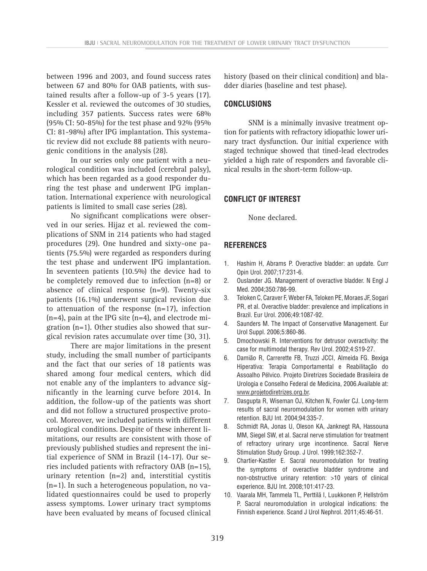between 1996 and 2003, and found success rates between 67 and 80% for OAB patients, with sustained results after a follow-up of 3-5 years (17). Kessler et al. reviewed the outcomes of 30 studies, including 357 patients. Success rates were 68% (95% CI: 50-85%) for the test phase and 92% (95% CI: 81-98%) after IPG implantation. This systematic review did not exclude 88 patients with neurogenic conditions in the analysis (28).

In our series only one patient with a neurological condition was included (cerebral palsy), which has been regarded as a good responder during the test phase and underwent IPG implantation. International experience with neurological patients is limited to small case series (28).

No significant complications were observed in our series. Hijaz et al. reviewed the complications of SNM in 214 patients who had staged procedures (29). One hundred and sixty-one patients (75.5%) were regarded as responders during the test phase and underwent IPG implantation. In seventeen patients (10.5%) the device had to be completely removed due to infection (n=8) or absence of clinical response (n=9). Twenty-six patients (16.1%) underwent surgical revision due to attenuation of the response  $(n=17)$ , infection  $(n=4)$ , pain at the IPG site  $(n=4)$ , and electrode migration (n=1). Other studies also showed that surgical revision rates accumulate over time (30, 31).

There are major limitations in the present study, including the small number of participants and the fact that our series of 18 patients was shared among four medical centers, which did not enable any of the implanters to advance significantly in the learning curve before 2014. In addition, the follow-up of the patients was short and did not follow a structured prospective protocol. Moreover, we included patients with different urological conditions. Despite of these inherent limitations, our results are consistent with those of previously published studies and represent the initial experience of SNM in Brazil (14-17). Our series included patients with refractory OAB (n=15), urinary retention (n=2) and, interstitial cystitis (n=1). In such a heterogeneous population, no validated questionnaires could be used to properly assess symptoms. Lower urinary tract symptoms have been evaluated by means of focused clinical

history (based on their clinical condition) and bladder diaries (baseline and test phase).

# **CONCLUSIONS**

SNM is a minimally invasive treatment option for patients with refractory idiopathic lower urinary tract dysfunction. Our initial experience with staged technique showed that tined-lead electrodes yielded a high rate of responders and favorable clinical results in the short-term follow-up.

# **CONFLICT OF INTEREST**

None declared.

# **REFERENCES**

- 1. Hashim H, Abrams P. Overactive bladder: an update. Curr Opin Urol. 2007;17:231-6.
- 2. Ouslander JG. Management of overactive bladder. N Engl J Med. 2004;350:786-99.
- 3. Teloken C, Caraver F, Weber FA, Teloken PE, Moraes JF, Sogari PR, et al. Overactive bladder: prevalence and implications in Brazil. Eur Urol. 2006;49:1087-92.
- 4. Saunders M. The Impact of Conservative Management. Eur Urol Suppl. 2006;5:860-86.
- 5. Dmochowski R. Interventions for detrusor overactivity: the case for multimodal therapy. Rev Urol. 2002;4:S19-27.
- 6. Damião R, Carrerette FB, Truzzi JCCI, Almeida FG. Bexiga Hiperativa: Terapia Comportamental e Reabilitação do Assoalho Pélvico. Projeto Diretrizes Sociedade Brasileira de Urologia e Conselho Federal de Medicina, 2006.Available at: [www.projetodiretrizes.org.br.](http://www.projetodiretrizes.org.br)
- 7. Dasgupta R, Wiseman OJ, Kitchen N, Fowler CJ. Long-term results of sacral neuromodulation for women with urinary retention. BJU Int. 2004;94:335-7.
- 8. Schmidt RA, Jonas U, Oleson KA, Janknegt RA, Hassouna MM, Siegel SW, et al. Sacral nerve stimulation for treatment of refractory urinary urge incontinence. Sacral Nerve Stimulation Study Group. J Urol. 1999;162:352-7.
- 9. Chartier-Kastler E. Sacral neuromodulation for treating the symptoms of overactive bladder syndrome and non-obstructive urinary retention: >10 years of clinical experience. BJU Int. 2008;101:417-23.
- 10. Vaarala MH, Tammela TL, Perttilä I, Luukkonen P, Hellström P. Sacral neuromodulation in urological indications: the Finnish experience. Scand J Urol Nephrol. 2011;45:46-51.